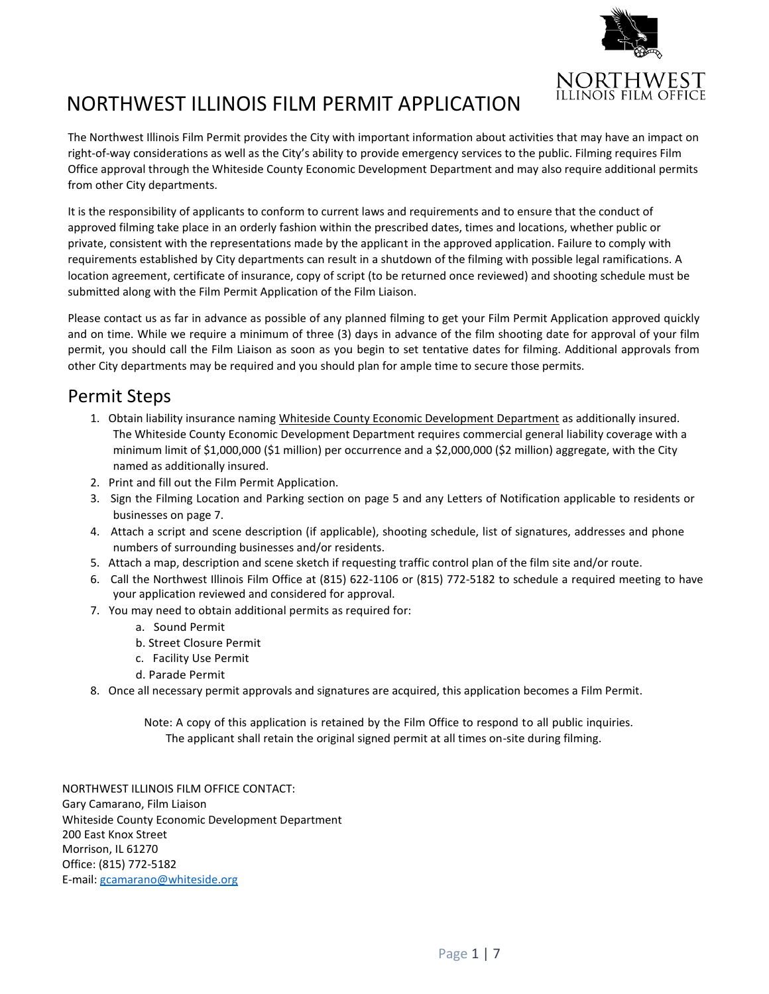

# NORTHWEST ILLINOIS FILM PERMIT APPLICATION

The Northwest Illinois Film Permit provides the City with important information about activities that may have an impact on right-of-way considerations as well as the City's ability to provide emergency services to the public. Filming requires Film Office approval through the Whiteside County Economic Development Department and may also require additional permits from other City departments.

It is the responsibility of applicants to conform to current laws and requirements and to ensure that the conduct of approved filming take place in an orderly fashion within the prescribed dates, times and locations, whether public or private, consistent with the representations made by the applicant in the approved application. Failure to comply with requirements established by City departments can result in a shutdown of the filming with possible legal ramifications. A location agreement, certificate of insurance, copy of script (to be returned once reviewed) and shooting schedule must be submitted along with the Film Permit Application of the Film Liaison.

Please contact us as far in advance as possible of any planned filming to get your Film Permit Application approved quickly and on time. While we require a minimum of three (3) days in advance of the film shooting date for approval of your film permit, you should call the Film Liaison as soon as you begin to set tentative dates for filming. Additional approvals from other City departments may be required and you should plan for ample time to secure those permits.

### Permit Steps

- 1. Obtain liability insurance naming Whiteside County Economic Development Department as additionally insured. The Whiteside County Economic Development Department requires commercial general liability coverage with a minimum limit of \$1,000,000 (\$1 million) per occurrence and a \$2,000,000 (\$2 million) aggregate, with the City named as additionally insured.
- 2. Print and fill out the Film Permit Application.
- 3. Sign the Filming Location and Parking section on page 5 and any Letters of Notification applicable to residents or businesses on page 7.
- 4. Attach a script and scene description (if applicable), shooting schedule, list of signatures, addresses and phone numbers of surrounding businesses and/or residents.
- 5. Attach a map, description and scene sketch if requesting traffic control plan of the film site and/or route.
- 6. Call the Northwest Illinois Film Office at (815) 622-1106 or (815) 772-5182 to schedule a required meeting to have your application reviewed and considered for approval.
- 7. You may need to obtain additional permits as required for:
	- a. Sound Permit
	- b. Street Closure Permit
	- c. Facility Use Permit
	- d. Parade Permit
- 8. Once all necessary permit approvals and signatures are acquired, this application becomes a Film Permit.

Note: A copy of this application is retained by the Film Office to respond to all public inquiries. The applicant shall retain the original signed permit at all times on-site during filming.

NORTHWEST ILLINOIS FILM OFFICE CONTACT: Gary Camarano, Film Liaison Whiteside County Economic Development Department 200 East Knox Street Morrison, IL 61270 Office: (815) 772-5182 E-mail[: gcamarano@whiteside.org](mailto:gcamarano@whiteside.org)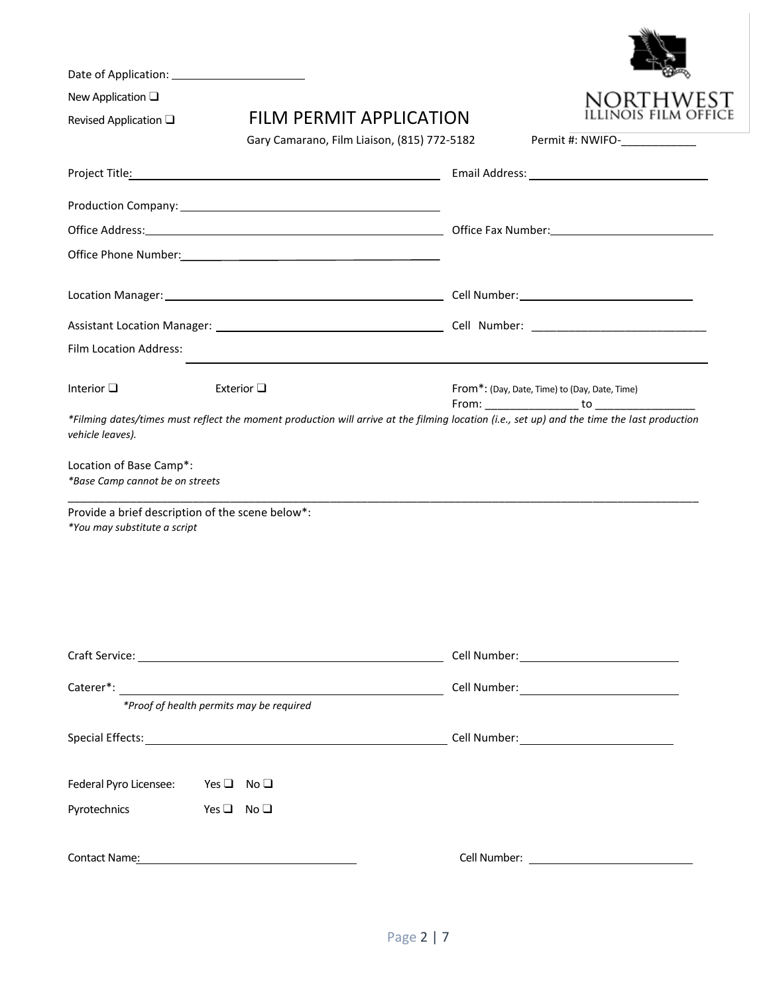| New Application $\square$                                  | <b>FILM PERMIT APPLICATION</b>              |                                                                                  |
|------------------------------------------------------------|---------------------------------------------|----------------------------------------------------------------------------------|
| Revised Application $\square$                              | Gary Camarano, Film Liaison, (815) 772-5182 | Permit #: NWIFO-____________                                                     |
|                                                            |                                             |                                                                                  |
|                                                            |                                             |                                                                                  |
|                                                            |                                             |                                                                                  |
|                                                            |                                             |                                                                                  |
|                                                            |                                             |                                                                                  |
|                                                            |                                             |                                                                                  |
|                                                            |                                             |                                                                                  |
| Film Location Address:                                     |                                             | ,我们也不会有什么。""我们的人,我们也不会有什么?""我们的人,我们也不会有什么?""我们的人,我们也不会有什么?""我们的人,我们也不会有什么?""我们的人 |
| Interior $\square$                                         | Exterior $\square$                          | From*: (Day, Date, Time) to (Day, Date, Time)                                    |
| Location of Base Camp*:<br>*Base Camp cannot be on streets |                                             |                                                                                  |
| Provide a brief description of the scene below*:           |                                             |                                                                                  |
| *You may substitute a script                               |                                             |                                                                                  |
|                                                            |                                             |                                                                                  |
|                                                            |                                             |                                                                                  |
|                                                            |                                             |                                                                                  |
|                                                            |                                             |                                                                                  |
| *Proof of health permits may be required                   |                                             |                                                                                  |
|                                                            |                                             |                                                                                  |
| Federal Pyro Licensee: Yes □ No □                          |                                             |                                                                                  |
| Pyrotechnics Yes □ No □                                    |                                             |                                                                                  |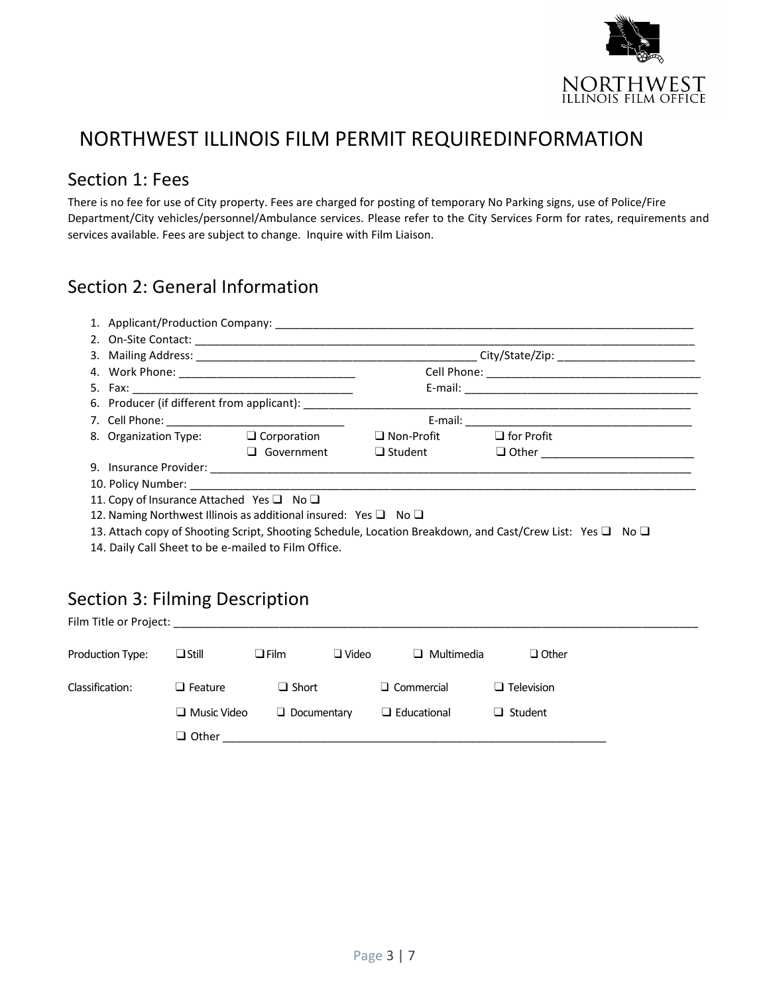

# NORTHWEST ILLINOIS FILM PERMIT REQUIREDINFORMATION

#### Section 1: Fees

There is no fee for use of City property. Fees are charged for posting of temporary No Parking signs, use of Police/Fire Department/City vehicles/personnel/Ambulance services. Please refer to the City Services Form for rates, requirements and services available. Fees are subject to change. Inquire with Film Liaison.

### Section 2: General Information

| 4. Work Phone: ________________________________                           |            |                                     |                                                                                                           |  |  |  |
|---------------------------------------------------------------------------|------------|-------------------------------------|-----------------------------------------------------------------------------------------------------------|--|--|--|
|                                                                           |            |                                     |                                                                                                           |  |  |  |
|                                                                           |            |                                     |                                                                                                           |  |  |  |
|                                                                           |            |                                     |                                                                                                           |  |  |  |
| 8. Organization Type: $\Box$ Corporation                                  |            | $\Box$ Non-Profit $\Box$ for Profit |                                                                                                           |  |  |  |
|                                                                           | Government | $\Box$ Student                      |                                                                                                           |  |  |  |
|                                                                           |            |                                     |                                                                                                           |  |  |  |
|                                                                           |            |                                     |                                                                                                           |  |  |  |
| 11. Copy of Insurance Attached Yes $\Box$ No $\Box$                       |            |                                     |                                                                                                           |  |  |  |
| 12. Naming Northwest Illinois as additional insured: Yes $\Box$ No $\Box$ |            |                                     |                                                                                                           |  |  |  |
|                                                                           |            |                                     | 13. Attach copy of Shooting Script, Shooting Schedule, Location Breakdown, and Cast/Crew List: Yes □ No □ |  |  |  |

14. Daily Call Sheet to be e-mailed to Film Office.

## Section 3: Filming Description

Film Title or Project:

| Production Type: | $\Box$ Still       | $\square$ Film |                    | $\Box$ Video | $\Box$ Multimedia  | $\Box$ Other      |
|------------------|--------------------|----------------|--------------------|--------------|--------------------|-------------------|
| Classification:  | $\Box$ Feature     |                | $\Box$ Short       |              | $\Box$ Commercial  | $\Box$ Television |
|                  | $\Box$ Music Video |                | $\Box$ Documentary |              | $\Box$ Educational | $\Box$ Student    |
|                  | $\Box$ Other       |                |                    |              |                    |                   |
|                  |                    |                |                    |              |                    |                   |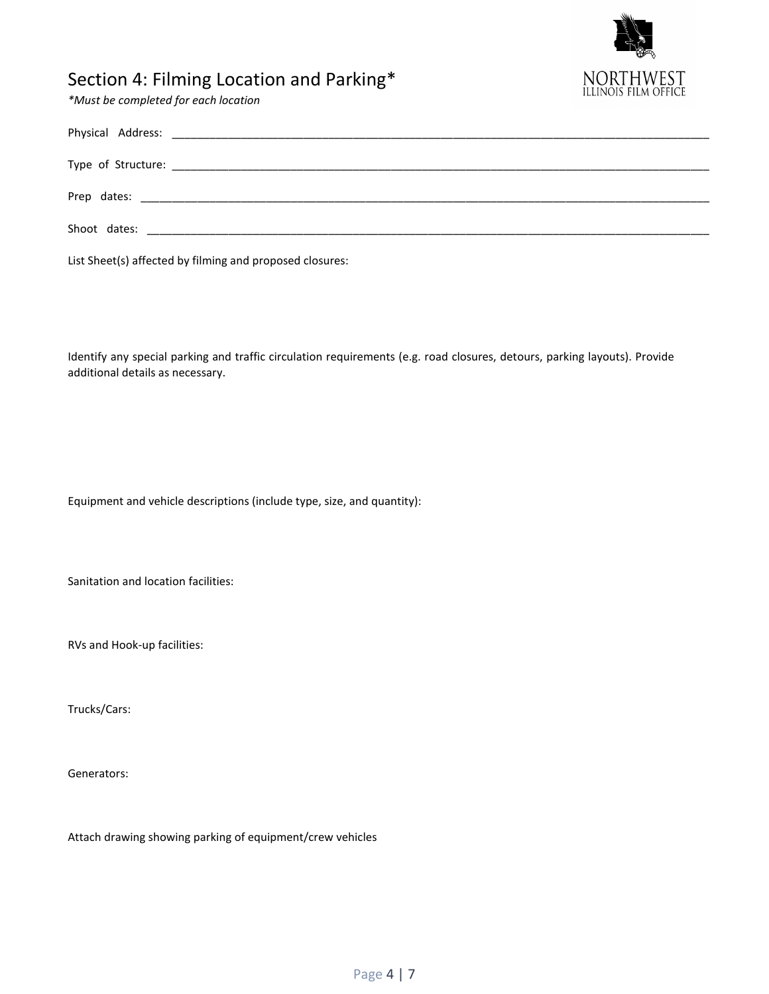

## Section 4: Filming Location and Parking\*

*\*Must be completed for each location*

| List Sheet(s) affected by filming and proposed closures: |
|----------------------------------------------------------|

Identify any special parking and traffic circulation requirements (e.g. road closures, detours, parking layouts). Provide additional details as necessary.

Equipment and vehicle descriptions (include type, size, and quantity):

Sanitation and location facilities:

RVs and Hook-up facilities:

Trucks/Cars:

Generators:

Attach drawing showing parking of equipment/crew vehicles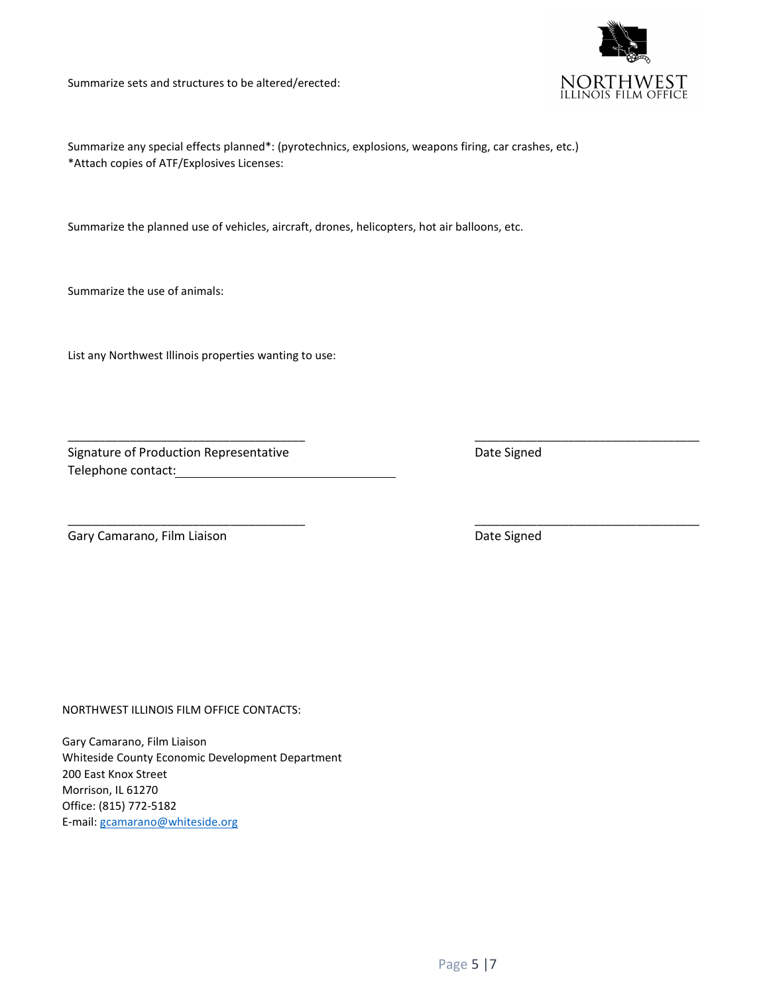Summarize sets and structures to be altered/erected:



Summarize any special effects planned\*: (pyrotechnics, explosions, weapons firing, car crashes, etc.) \*Attach copies of ATF/Explosives Licenses:

\_\_\_\_\_\_\_\_\_\_\_\_\_\_\_\_\_\_\_\_\_\_\_\_\_\_\_\_\_\_\_\_\_\_\_\_\_\_ \_\_\_\_\_\_\_\_\_\_\_\_\_\_\_\_\_\_\_\_\_\_\_\_\_\_\_\_\_\_\_\_\_\_\_\_

\_\_\_\_\_\_\_\_\_\_\_\_\_\_\_\_\_\_\_\_\_\_\_\_\_\_\_\_\_\_\_\_\_\_\_\_\_\_ \_\_\_\_\_\_\_\_\_\_\_\_\_\_\_\_\_\_\_\_\_\_\_\_\_\_\_\_\_\_\_\_\_\_\_\_

Summarize the planned use of vehicles, aircraft, drones, helicopters, hot air balloons, etc.

Summarize the use of animals:

List any Northwest Illinois properties wanting to use:

Signature of Production Representative **Example 2018** Date Signed Telephone contact:

Gary Camarano, Film Liaison **Date Signed** Date Signed

NORTHWEST ILLINOIS FILM OFFICE CONTACTS:

Gary Camarano, Film Liaison Whiteside County Economic Development Department 200 East Knox Street Morrison, IL 61270 Office: (815) 772-5182 E-mail[: gcamarano@whiteside.org](mailto:gcamarano@whiteside.org)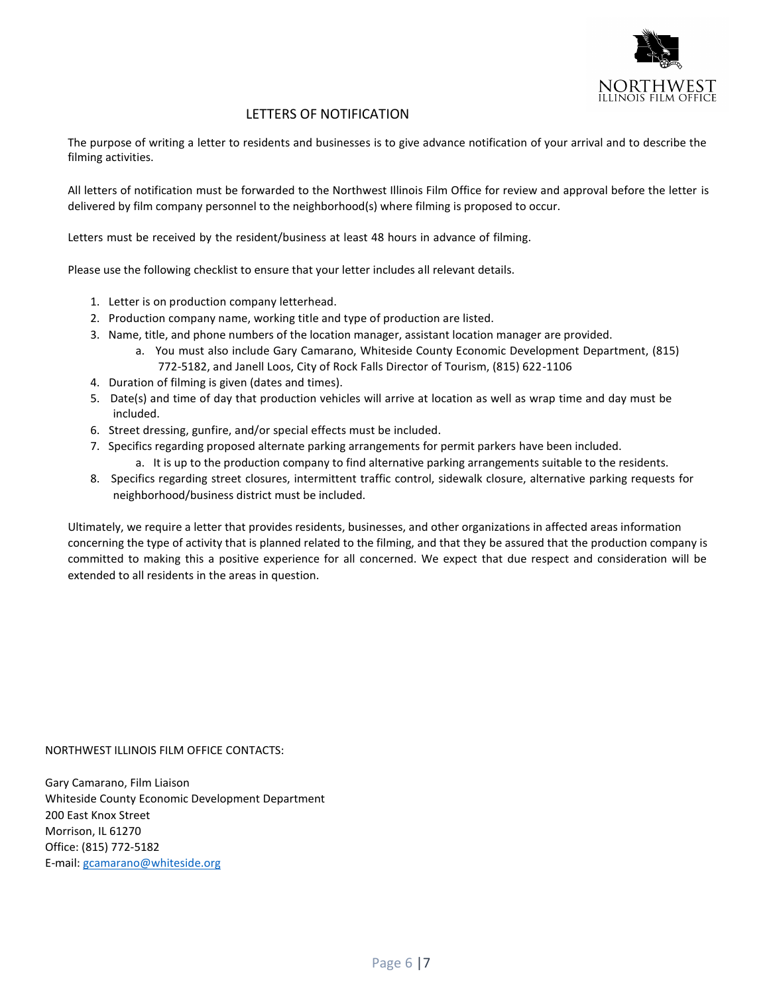

#### LETTERS OF NOTIFICATION

The purpose of writing a letter to residents and businesses is to give advance notification of your arrival and to describe the filming activities.

All letters of notification must be forwarded to the Northwest Illinois Film Office for review and approval before the letter is delivered by film company personnel to the neighborhood(s) where filming is proposed to occur.

Letters must be received by the resident/business at least 48 hours in advance of filming.

Please use the following checklist to ensure that your letter includes all relevant details.

- 1. Letter is on production company letterhead.
- 2. Production company name, working title and type of production are listed.
- 3. Name, title, and phone numbers of the location manager, assistant location manager are provided.
	- a. You must also include Gary Camarano, Whiteside County Economic Development Department, (815) 772-5182, and Janell Loos, City of Rock Falls Director of Tourism, (815) 622-1106
- 4. Duration of filming is given (dates and times).
- 5. Date(s) and time of day that production vehicles will arrive at location as well as wrap time and day must be included.
- 6. Street dressing, gunfire, and/or special effects must be included.
- 7. Specifics regarding proposed alternate parking arrangements for permit parkers have been included.
	- a. It is up to the production company to find alternative parking arrangements suitable to the residents.
- 8. Specifics regarding street closures, intermittent traffic control, sidewalk closure, alternative parking requests for neighborhood/business district must be included.

Ultimately, we require a letter that provides residents, businesses, and other organizations in affected areas information concerning the type of activity that is planned related to the filming, and that they be assured that the production company is committed to making this a positive experience for all concerned. We expect that due respect and consideration will be extended to all residents in the areas in question.

NORTHWEST ILLINOIS FILM OFFICE CONTACTS:

Gary Camarano, Film Liaison Whiteside County Economic Development Department 200 East Knox Street Morrison, IL 61270 Office: (815) 772-5182 E-mail: [gcamarano@whiteside.org](mailto:gcamarano@whiteside.org)